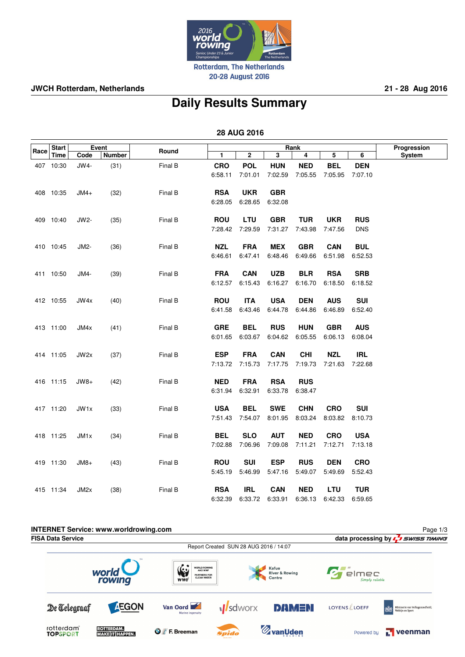

**JWCH Rotterdam, Netherlands 21 - 28 Aug 2016**

## **Daily Results Summary**

 **28 AUG 2016**

|      | <b>Start</b><br><b>Time</b> | Event  |               |         |            |              | Progression |            |            |            |        |
|------|-----------------------------|--------|---------------|---------|------------|--------------|-------------|------------|------------|------------|--------|
| Race |                             | Code   | <b>Number</b> | Round   | 1.         | $\mathbf{2}$ | 3           | Rank<br>4  | 5          | 6          | System |
|      | 407 10:30                   | JW4-   | (31)          | Final B | <b>CRO</b> | <b>POL</b>   | <b>HUN</b>  | <b>NED</b> | <b>BEL</b> | <b>DEN</b> |        |
|      |                             |        |               |         | 6:58.11    | 7:01.01      | 7:02.59     | 7:05.55    | 7:05.95    | 7:07.10    |        |
|      |                             |        |               |         |            |              |             |            |            |            |        |
|      | 408 10:35                   | $JMA+$ | (32)          | Final B | <b>RSA</b> | <b>UKR</b>   | <b>GBR</b>  |            |            |            |        |
|      |                             |        |               |         | 6:28.05    | 6:28.65      | 6:32.08     |            |            |            |        |
|      |                             |        |               |         |            |              |             |            |            |            |        |
|      | 409 10:40                   | JW2-   | (35)          | Final B | <b>ROU</b> | LTU          | <b>GBR</b>  | <b>TUR</b> | <b>UKR</b> | <b>RUS</b> |        |
|      |                             |        |               |         | 7:28.42    | 7:29.59      | 7:31.27     | 7:43.98    | 7:47.56    | <b>DNS</b> |        |
|      |                             |        |               |         |            |              |             |            |            |            |        |
|      | 410 10:45                   | JM2-   | (36)          | Final B | <b>NZL</b> | <b>FRA</b>   | <b>MEX</b>  | <b>GBR</b> | <b>CAN</b> | <b>BUL</b> |        |
|      |                             |        |               |         | 6:46.61    | 6:47.41      | 6:48.46     | 6:49.66    | 6:51.98    | 6:52.53    |        |
|      |                             |        |               |         |            |              |             |            |            |            |        |
|      | 411 10:50                   | JM4-   | (39)          | Final B | <b>FRA</b> | <b>CAN</b>   | <b>UZB</b>  | <b>BLR</b> | <b>RSA</b> | <b>SRB</b> |        |
|      |                             |        |               |         | 6:12.57    | 6:15.43      | 6:16.27     | 6:16.70    | 6:18.50    | 6:18.52    |        |
|      |                             |        |               |         |            |              |             |            |            |            |        |
|      | 412 10:55                   | JW4x   | (40)          | Final B | <b>ROU</b> | <b>ITA</b>   | <b>USA</b>  | <b>DEN</b> | <b>AUS</b> | <b>SUI</b> |        |
|      |                             |        |               |         | 6:41.58    | 6:43.46      | 6:44.78     | 6:44.86    | 6:46.89    | 6:52.40    |        |
|      | 413 11:00                   | JM4x   | (41)          | Final B | <b>GRE</b> | <b>BEL</b>   | <b>RUS</b>  | <b>HUN</b> | <b>GBR</b> | <b>AUS</b> |        |
|      |                             |        |               |         | 6:01.65    | 6:03.67      | 6:04.62     | 6:05.55    | 6:06.13    | 6:08.04    |        |
|      |                             |        |               |         |            |              |             |            |            |            |        |
|      | 414 11:05                   | JW2x   | (37)          | Final B | <b>ESP</b> | <b>FRA</b>   | <b>CAN</b>  | <b>CHI</b> | <b>NZL</b> | <b>IRL</b> |        |
|      |                             |        |               |         | 7:13.72    | 7:15.73      | 7:17.75     | 7:19.73    | 7:21.63    | 7:22.68    |        |
|      |                             |        |               |         |            |              |             |            |            |            |        |
|      | 416 11:15                   | $JW8+$ | (42)          | Final B | <b>NED</b> | <b>FRA</b>   | <b>RSA</b>  | <b>RUS</b> |            |            |        |
|      |                             |        |               |         | 6:31.94    | 6:32.91      | 6:33.78     | 6:38.47    |            |            |        |
|      |                             |        |               |         |            |              |             |            |            |            |        |
|      | 417 11:20                   | JW1x   | (33)          | Final B | <b>USA</b> | <b>BEL</b>   | <b>SWE</b>  | <b>CHN</b> | <b>CRO</b> | <b>SUI</b> |        |
|      |                             |        |               |         | 7:51.43    | 7:54.07      | 8:01.95     | 8:03.24    | 8:03.82    | 8:10.73    |        |
|      |                             |        |               |         |            |              |             |            |            |            |        |
|      | 418 11:25                   | JM1x   | (34)          | Final B | <b>BEL</b> | <b>SLO</b>   | <b>AUT</b>  | <b>NED</b> | <b>CRO</b> | <b>USA</b> |        |
|      |                             |        |               |         | 7:02.88    | 7:06.96      | 7:09.08     | 7:11.21    | 7:12.71    | 7:13.18    |        |
|      |                             |        |               |         |            |              |             |            |            |            |        |
|      | 419 11:30                   | $JM8+$ | (43)          | Final B | <b>ROU</b> | <b>SUI</b>   | <b>ESP</b>  | <b>RUS</b> | <b>DEN</b> | <b>CRO</b> |        |
|      |                             |        |               |         | 5:45.19    | 5:46.99      | 5:47.16     | 5:49.07    | 5:49.69    | 5:52.43    |        |
|      | 415 11:34                   | JM2x   | (38)          | Final B | <b>RSA</b> | <b>IRL</b>   | <b>CAN</b>  | <b>NED</b> | <b>LTU</b> | <b>TUR</b> |        |
|      |                             |        |               |         | 6:32.39    | 6:33.72      | 6.33.91     | 6:36.13    | 6:42.33    | 6.59.65    |        |
|      |                             |        |               |         |            |              |             |            |            |            |        |

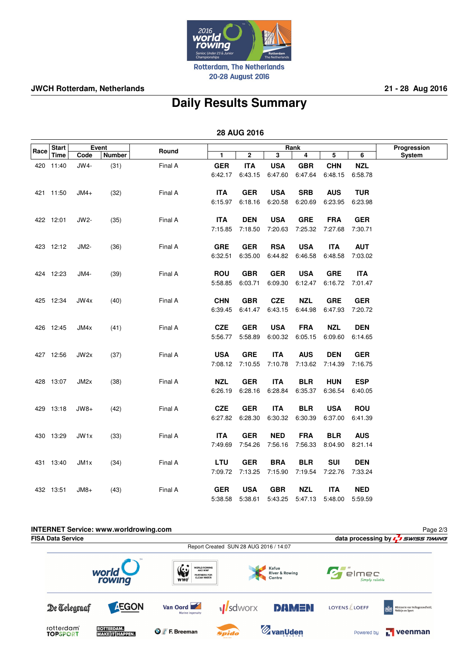

**JWCH Rotterdam, Netherlands 21 - 28 Aug 2016**

## **Daily Results Summary**

 **28 AUG 2016**

|      | <b>Start</b><br>Time | Event  |               |         |                |             | Progression |            |            |            |               |
|------|----------------------|--------|---------------|---------|----------------|-------------|-------------|------------|------------|------------|---------------|
| Race |                      | Code   | <b>Number</b> | Round   | $\blacksquare$ | $\mathbf 2$ | 3           | 4          | 5          | 6          | <b>System</b> |
|      | 420 11:40            | JW4-   | (31)          | Final A | <b>GER</b>     | <b>ITA</b>  | <b>USA</b>  | <b>GBR</b> | <b>CHN</b> | <b>NZL</b> |               |
|      |                      |        |               |         | 6:42.17        | 6:43.15     | 6:47.60     | 6:47.64    | 6:48.15    | 6:58.78    |               |
|      |                      |        |               |         |                |             |             |            |            |            |               |
|      | 421 11:50            | $JMA+$ | (32)          | Final A | <b>ITA</b>     | <b>GER</b>  | <b>USA</b>  | <b>SRB</b> | <b>AUS</b> | <b>TUR</b> |               |
|      |                      |        |               |         | 6:15.97        | 6:18.16     | 6:20.58     | 6:20.69    | 6:23.95    | 6:23.98    |               |
|      |                      |        |               |         |                |             |             |            |            |            |               |
|      | 422 12:01            | JW2-   | (35)          | Final A | <b>ITA</b>     | <b>DEN</b>  | <b>USA</b>  | <b>GRE</b> | <b>FRA</b> | <b>GER</b> |               |
|      |                      |        |               |         | 7:15.85        | 7:18.50     | 7:20.63     | 7:25.32    | 7:27.68    | 7:30.71    |               |
|      | 423 12:12            | JM2-   | (36)          | Final A | <b>GRE</b>     | <b>GER</b>  | <b>RSA</b>  | <b>USA</b> | <b>ITA</b> | <b>AUT</b> |               |
|      |                      |        |               |         | 6:32.51        | 6:35.00     | 6:44.82     | 6:46.58    | 6:48.58    | 7:03.02    |               |
|      |                      |        |               |         |                |             |             |            |            |            |               |
|      | 424 12:23            | JM4-   | (39)          | Final A | <b>ROU</b>     | <b>GBR</b>  | <b>GER</b>  | <b>USA</b> | <b>GRE</b> | <b>ITA</b> |               |
|      |                      |        |               |         | 5:58.85        | 6:03.71     | 6:09.30     | 6:12.47    | 6:16.72    | 7:01.47    |               |
|      |                      |        |               |         |                |             |             |            |            |            |               |
|      | 425 12:34            | JW4x   | (40)          | Final A | <b>CHN</b>     | <b>GBR</b>  | <b>CZE</b>  | <b>NZL</b> | <b>GRE</b> | <b>GER</b> |               |
|      |                      |        |               |         | 6:39.45        | 6:41.47     | 6:43.15     | 6:44.98    | 6:47.93    | 7:20.72    |               |
|      | 426 12:45            | JM4x   | (41)          | Final A | <b>CZE</b>     | <b>GER</b>  | <b>USA</b>  | <b>FRA</b> | <b>NZL</b> | <b>DEN</b> |               |
|      |                      |        |               |         | 5:56.77        | 5:58.89     | 6:00.32     | 6:05.15    | 6:09.60    | 6:14.65    |               |
|      |                      |        |               |         |                |             |             |            |            |            |               |
|      | 427 12:56            | JW2x   | (37)          | Final A | <b>USA</b>     | <b>GRE</b>  | <b>ITA</b>  | <b>AUS</b> | <b>DEN</b> | <b>GER</b> |               |
|      |                      |        |               |         | 7:08.12        | 7:10.55     | 7:10.78     | 7:13.62    | 7:14.39    | 7:16.75    |               |
|      |                      |        |               |         |                |             |             |            |            |            |               |
|      | 428 13:07            | JM2x   | (38)          | Final A | <b>NZL</b>     | <b>GER</b>  | <b>ITA</b>  | <b>BLR</b> | <b>HUN</b> | <b>ESP</b> |               |
|      |                      |        |               |         | 6:26.19        | 6:28.16     | 6:28.84     | 6:35.37    | 6:36.54    | 6:40.05    |               |
|      |                      |        |               |         |                |             |             |            |            |            |               |
|      | 429 13:18            | $JW8+$ | (42)          | Final A | <b>CZE</b>     | <b>GER</b>  | <b>ITA</b>  | <b>BLR</b> | <b>USA</b> | <b>ROU</b> |               |
|      |                      |        |               |         | 6:27.82        | 6:28.30     | 6:30.32     | 6:30.39    | 6:37.00    | 6:41.39    |               |
|      | 430 13:29            | JW1x   | (33)          | Final A | <b>ITA</b>     | <b>GER</b>  | <b>NED</b>  | <b>FRA</b> | <b>BLR</b> | <b>AUS</b> |               |
|      |                      |        |               |         | 7:49.69        | 7:54.26     | 7:56.16     | 7:56.33    | 8:04.90    | 8:21.14    |               |
|      |                      |        |               |         |                |             |             |            |            |            |               |
|      | 431 13:40            | JM1x   | (34)          | Final A | <b>LTU</b>     | <b>GER</b>  | <b>BRA</b>  | <b>BLR</b> | <b>SUI</b> | <b>DEN</b> |               |
|      |                      |        |               |         | 7:09.72        | 7:13.25     | 7:15.90     | 7:19.54    | 7:22.76    | 7:33.24    |               |
|      |                      |        |               |         |                |             |             |            |            |            |               |
|      | 432 13:51            | $JM8+$ | (43)          | Final A | <b>GER</b>     | <b>USA</b>  | <b>GBR</b>  | <b>NZL</b> | <b>ITA</b> | <b>NED</b> |               |
|      |                      |        |               |         | 5:38.58        | 5:38.61     | 5:43.25     | 5:47.13    | 5:48.00    | 5:59.59    |               |